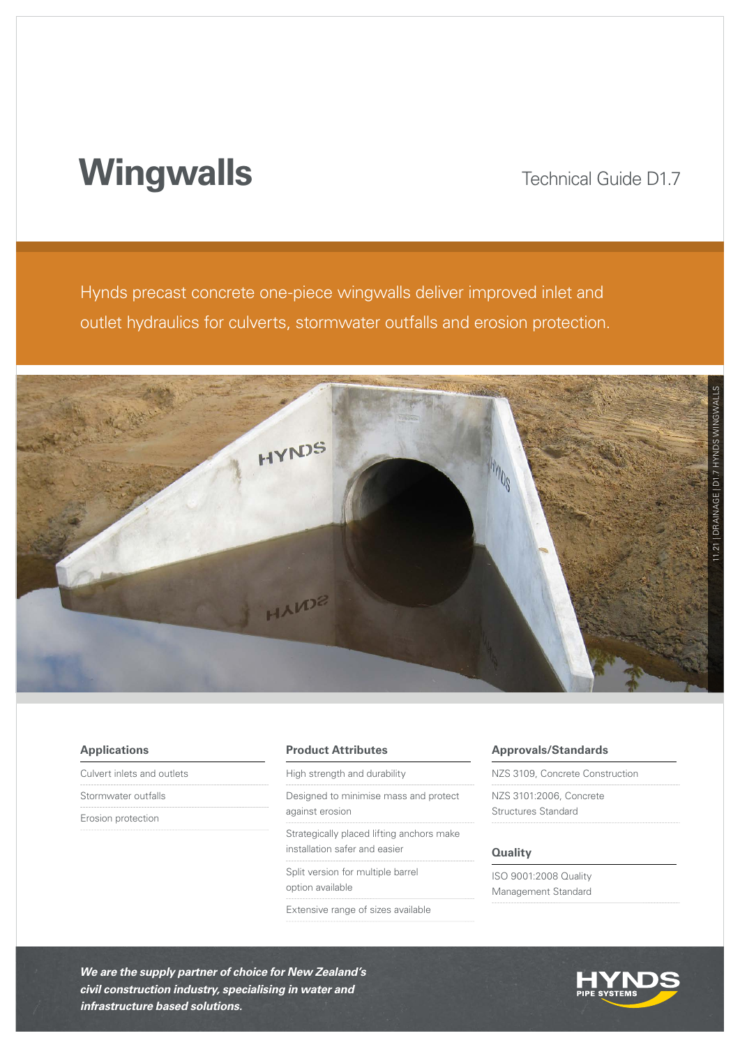# **Wingwalls**

## Technical Guide D1.7

Hynds precast concrete one-piece wingwalls deliver improved inlet and outlet hydraulics for culverts, stormwater outfalls and erosion protection.



| <b>Applications</b>        | <b>Product Attributes</b>                 | <b>Approvals/Standards</b>      |  |  |  |  |
|----------------------------|-------------------------------------------|---------------------------------|--|--|--|--|
| Culvert inlets and outlets | High strength and durability              | NZS 3109, Concrete Construction |  |  |  |  |
| Stormwater outfalls        | Designed to minimise mass and protect     | NZS 3101:2006, Concrete         |  |  |  |  |
| Erosion protection         | against erosion                           | Structures Standard             |  |  |  |  |
|                            | Strategically placed lifting anchors make |                                 |  |  |  |  |
|                            | installation safer and easier             | <b>Quality</b>                  |  |  |  |  |
|                            | Split version for multiple barrel         | ISO 9001:2008 Quality           |  |  |  |  |
|                            | option available                          | Management Standard             |  |  |  |  |
|                            | Extensive range of sizes available        |                                 |  |  |  |  |

*We are the supply partner of choice for New Zealand's civil construction industry, specialising in water and infrastructure based solutions.*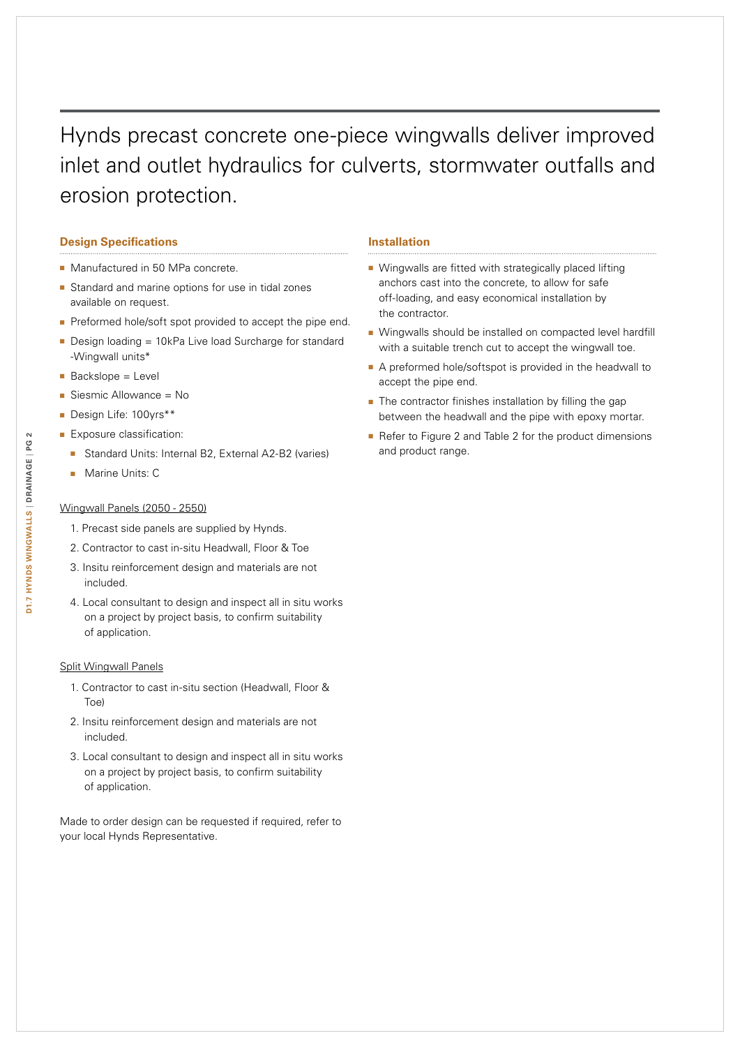# Hynds precast concrete one-piece wingwalls deliver improved inlet and outlet hydraulics for culverts, stormwater outfalls and erosion protection.

#### **Design Specifications**

- Manufactured in 50 MPa concrete.
- Standard and marine options for use in tidal zones available on request.
- Preformed hole/soft spot provided to accept the pipe end.
- Design loading = 10kPa Live load Surcharge for standard -Wingwall units\*
- Backslope = Level
- Siesmic Allowance = No
- Design Life: 100yrs\*\*
- Exposure classification:
	- Standard Units: Internal B2, External A2-B2 (varies)
	- Marine Units: C

#### Wingwall Panels (2050 - 2550)

- 1. Precast side panels are supplied by Hynds.
- 2. Contractor to cast in-situ Headwall, Floor & Toe
- 3. Insitu reinforcement design and materials are not included.
- 4. Local consultant to design and inspect all in situ works on a project by project basis, to confirm suitability of application.

#### Split Wingwall Panels

- 1. Contractor to cast in-situ section (Headwall, Floor & Toe)
- 2. Insitu reinforcement design and materials are not included.
- 3. Local consultant to design and inspect all in situ works on a project by project basis, to confirm suitability of application.

Made to order design can be requested if required, refer to your local Hynds Representative.

#### **Installation**

- Wingwalls are fitted with strategically placed lifting anchors cast into the concrete, to allow for safe off-loading, and easy economical installation by the contractor.
- Wingwalls should be installed on compacted level hardfill with a suitable trench cut to accept the wingwall toe.
- A preformed hole/softspot is provided in the headwall to accept the pipe end.
- The contractor finishes installation by filling the gap between the headwall and the pipe with epoxy mortar.
- Refer to Figure 2 and Table 2 for the product dimensions and product range.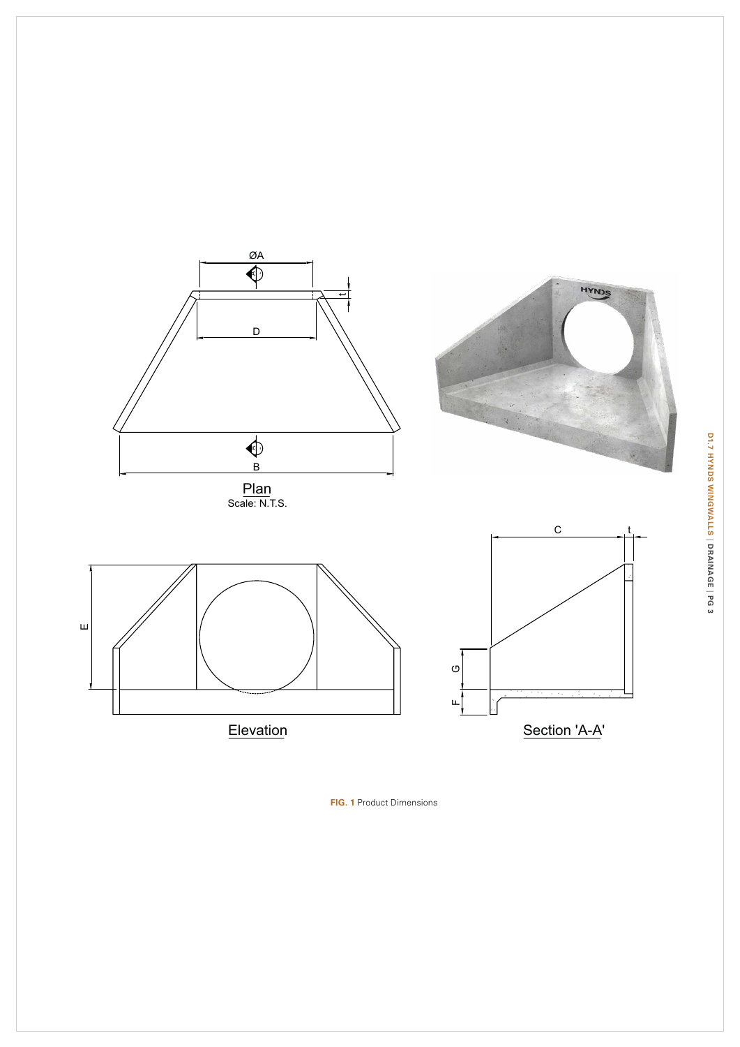

**Fig. 1** Product Dimensions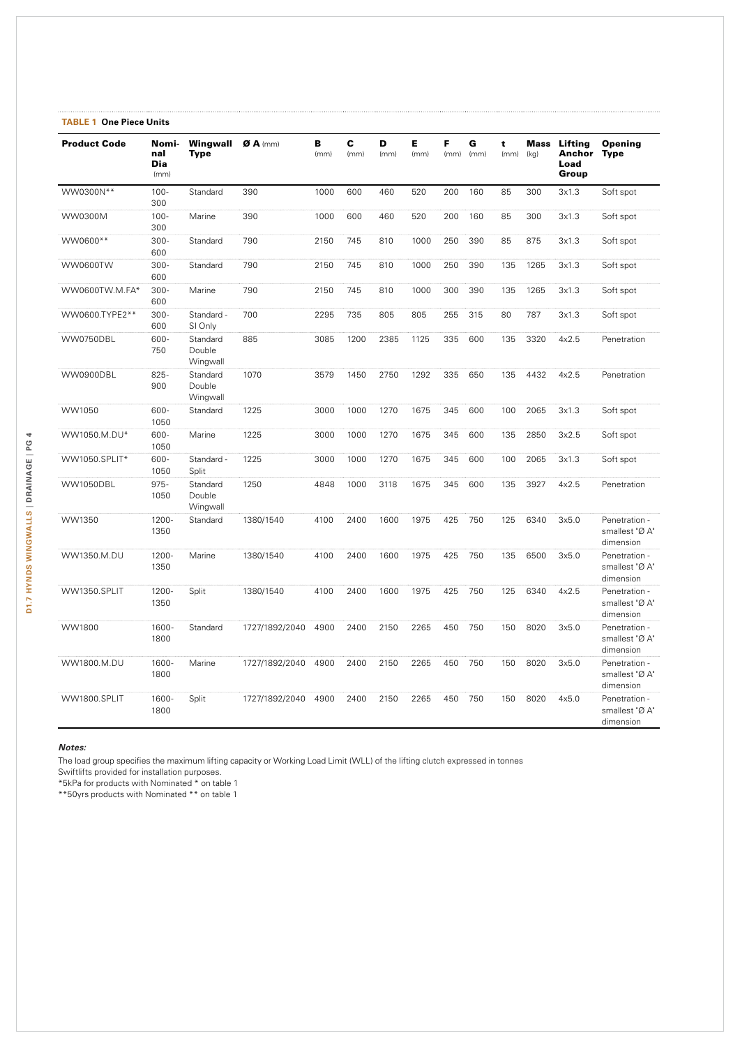| <b>TABLE 1 One Piece Units</b> |                             |                                |                         |           |           |           |           |           |           |           |      |                                                |                                              |
|--------------------------------|-----------------------------|--------------------------------|-------------------------|-----------|-----------|-----------|-----------|-----------|-----------|-----------|------|------------------------------------------------|----------------------------------------------|
| <b>Product Code</b>            | Nomi-<br>nal<br>Dia<br>(mm) | Wingwall<br>Tvpe               | $\boldsymbol{a}$ A (mm) | B<br>(mm) | C<br>(mm) | D<br>(mm) | E<br>(mm) | F<br>(mm) | G<br>(mm) | t<br>(mm) | (kg) | <b>Mass Lifting</b><br>Anchor<br>Load<br>Group | Opening<br><b>Type</b>                       |
| WW0300N**                      | $100 -$<br>300              | Standard                       | 390                     | 1000      | 600       | 460       | 520       | 200       | 160       | 85        | 300  | 3x1.3                                          | Soft spot                                    |
| WW0300M                        | $100 -$<br>300              | Marine                         | 390                     | 1000      | 600       | 460       | 520       | 200       | 160       | 85        | 300  | 3x1.3                                          | Soft spot                                    |
| WW0600**                       | $300 -$<br>600              | Standard                       | 790                     | 2150      | 745       | 810       | 1000      | 250       | 390       | 85        | 875  | 3x1.3                                          | Soft spot                                    |
| WW0600TW                       | $300 -$<br>600              | Standard                       | 790                     | 2150      | 745       | 810       | 1000      | 250       | 390       | 135       | 1265 | 3x1.3                                          | Soft spot                                    |
| WW0600TW.M.FA*                 | $300 -$<br>600              | Marine                         | 790                     | 2150      | 745       | 810       | 1000      | 300       | 390       | 135       | 1265 | 3x1.3                                          | Soft spot                                    |
| WW0600.TYPE2**                 | $300 -$<br>600              | Standard -<br>SI Only          | 700                     | 2295      | 735       | 805       | 805       | 255       | 315       | 80        | 787  | 3x1.3                                          | Soft spot                                    |
| WW0750DBL                      | 600-<br>750                 | Standard<br>Double<br>Wingwall | 885                     | 3085      | 1200      | 2385      | 1125      | 335       | 600       | 135       | 3320 | 4x2.5                                          | Penetration                                  |
| WW0900DBL                      | $825 -$<br>900              | Standard<br>Double<br>Wingwall | 1070                    | 3579      | 1450      | 2750      | 1292      | 335       | 650       | 135       | 4432 | 4x2.5                                          | Penetration                                  |
| WW1050                         | 600-<br>1050                | Standard                       | 1225                    | 3000      | 1000      | 1270      | 1675      | 345       | 600       | 100       | 2065 | 3x1.3                                          | Soft spot                                    |
| WW1050.M.DU*                   | 600-<br>1050                | Marine                         | 1225                    | 3000      | 1000      | 1270      | 1675      | 345       | 600       | 135       | 2850 | 3x2.5                                          | Soft spot                                    |
| WW1050.SPLIT*                  | 600-<br>1050                | Standard -<br>Split            | 1225                    | 3000      | 1000      | 1270      | 1675      | 345       | 600       | 100       | 2065 | 3x1.3                                          | Soft spot                                    |
| WW1050DBL                      | $975 -$<br>1050             | Standard<br>Double<br>Wingwall | 1250                    | 4848      | 1000      | 3118      | 1675      | 345       | 600       | 135       | 3927 | 4x2.5                                          | Penetration                                  |
| WW1350                         | 1200-<br>1350               | Standard                       | 1380/1540               | 4100      | 2400      | 1600      | 1975      | 425       | 750       | 125       | 6340 | 3x5.0                                          | Penetration -<br>smallest "Ø A"<br>dimension |
| WW1350.M.DU                    | 1200-<br>1350               | Marine                         | 1380/1540               | 4100      | 2400      | 1600      | 1975      | 425       | 750       | 135       | 6500 | 3x5.0                                          | Penetration -<br>smallest "Ø A"<br>dimension |
| WW1350.SPLIT                   | 1200-<br>1350               | Split                          | 1380/1540               | 4100      | 2400      | 1600      | 1975      | 425       | 750       | 125       | 6340 | 4x2.5                                          | Penetration -<br>smallest "Ø A"<br>dimension |
| WW1800                         | 1600-<br>1800               | Standard                       | 1727/1892/2040          | 4900      | 2400      | 2150      | 2265      | 450       | 750       | 150       | 8020 | 3x5.0                                          | Penetration -<br>smallest "Ø A"<br>dimension |
| WW1800.M.DU                    | 1600-<br>1800               | Marine                         | 1727/1892/2040          | 4900      | 2400      | 2150      | 2265      | 450       | 750       | 150       | 8020 | 3x5.0                                          | Penetration -<br>smallest "Ø A"<br>dimension |
| WW1800.SPLIT                   | 1600-<br>1800               | Split                          | 1727/1892/2040          | 4900      | 2400      | 2150      | 2265      | 450       | 750       | 150       | 8020 | 4x5.0                                          | Penetration -<br>smallest "Ø A"<br>dimension |

*Notes:*

The load group specifies the maximum lifting capacity or Working Load Limit (WLL) of the lifting clutch expressed in tonnes

Swiftlifts provided for installation purposes.

\*5kPa for products with Nominated \* on table 1

\*\*50yrs products with Nominated \*\* on table 1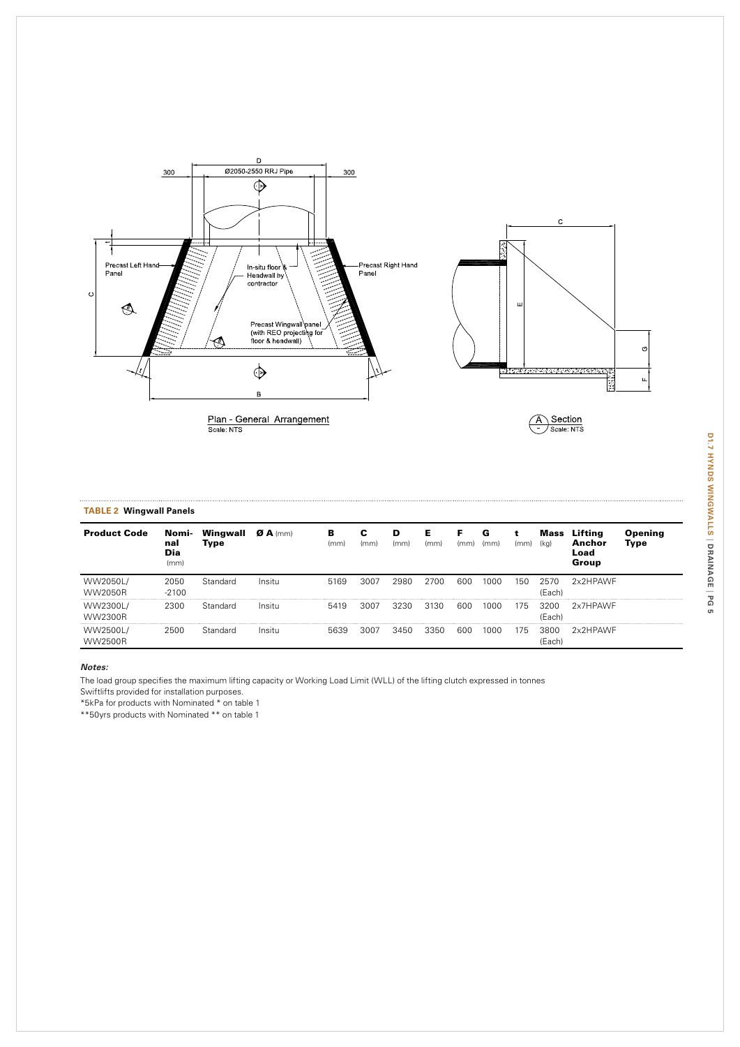

| <b>TABLE 2 Wingwall Panels</b> |                             |                  |                         |           |      |           |           |           |           |      |                |                                    |                 |
|--------------------------------|-----------------------------|------------------|-------------------------|-----------|------|-----------|-----------|-----------|-----------|------|----------------|------------------------------------|-----------------|
| <b>Product Code</b>            | Nomi-<br>nal<br>Dia<br>(mm) | Wingwall<br>Type | $\boldsymbol{a}$ A (mm) | в<br>(mm) | (mm) | D<br>(mm) | Е<br>(mm) | F<br>(mm) | G<br>(mm) | (mm) | Mass<br>(kg)   | Lifting<br>Anchor<br>Load<br>Group | Opening<br>Type |
| WW2050L/<br>WW2050R            | 2050<br>$-2100$             | Standard         | Insitu                  | 5169      | 3007 | 2980      | 2700      | 600       | 1000      | 150  | 2570<br>(Each) | 2x2HPAWF                           |                 |
| WW2300L/<br>WW2300R            | 2300                        | Standard         | Insitu                  | 5419      | 3007 | 3230      | 3130      | 600       | 1000      | 175  | 3200<br>(Each) | 2x7HPAWF                           |                 |
| WW2500L/<br><b>WW2500R</b>     | 2500                        | Standard         | Insitu                  | 5639      | 3007 | 3450      | 3350      | 600       | 1000      | 175  | 3800<br>(Each) | 2x2HPAWF                           |                 |

#### *Notes:*

The load group specifies the maximum lifting capacity or Working Load Limit (WLL) of the lifting clutch expressed in tonnes

Swiftlifts provided for installation purposes.

\*5kPa for products with Nominated \* on table 1

\*\*50yrs products with Nominated \*\* on table 1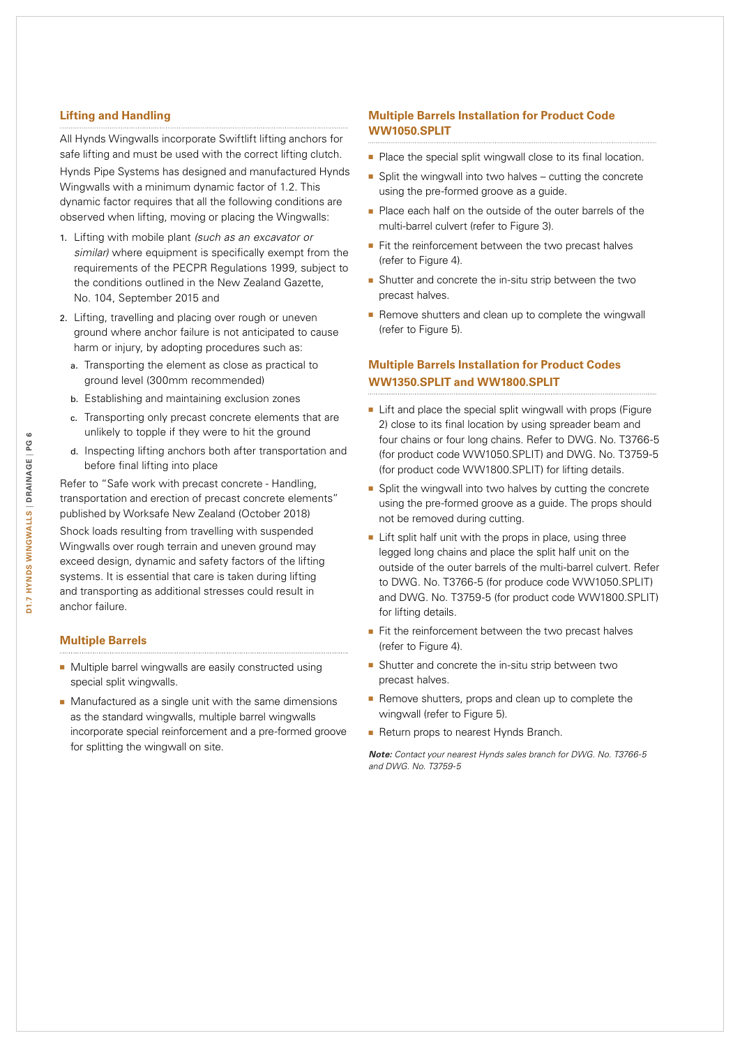#### **Lifting and Handling**

All Hynds Wingwalls incorporate Swiftlift lifting anchors for safe lifting and must be used with the correct lifting clutch. Hynds Pipe Systems has designed and manufactured Hynds Wingwalls with a minimum dynamic factor of 1.2. This dynamic factor requires that all the following conditions are observed when lifting, moving or placing the Wingwalls:

- 1. Lifting with mobile plant *(such as an excavator or similar)* where equipment is specifically exempt from the requirements of the PECPR Regulations 1999, subject to the conditions outlined in the New Zealand Gazette, No. 104, September 2015 and
- 2. Lifting, travelling and placing over rough or uneven ground where anchor failure is not anticipated to cause harm or injury, by adopting procedures such as:
	- a. Transporting the element as close as practical to ground level (300mm recommended)
	- b. Establishing and maintaining exclusion zones
	- c. Transporting only precast concrete elements that are unlikely to topple if they were to hit the ground
	- d. Inspecting lifting anchors both after transportation and before final lifting into place

Refer to "Safe work with precast concrete - Handling, transportation and erection of precast concrete elements" published by Worksafe New Zealand (October 2018) Shock loads resulting from travelling with suspended

Wingwalls over rough terrain and uneven ground may exceed design, dynamic and safety factors of the lifting systems. It is essential that care is taken during lifting and transporting as additional stresses could result in anchor failure.

#### **Multiple Barrels**

- Multiple barrel wingwalls are easily constructed using special split wingwalls.
- Manufactured as a single unit with the same dimensions as the standard wingwalls, multiple barrel wingwalls incorporate special reinforcement and a pre-formed groove for splitting the wingwall on site.

### **Multiple Barrels Installation for Product Code WW1050.SPLIT**

- Place the special split wingwall close to its final location.
- Split the wingwall into two halves cutting the concrete using the pre-formed groove as a guide.
- Place each half on the outside of the outer barrels of the multi-barrel culvert (refer to Figure 3).
- Fit the reinforcement between the two precast halves (refer to Figure 4).
- Shutter and concrete the in-situ strip between the two precast halves.
- Remove shutters and clean up to complete the wingwall (refer to Figure 5).

#### **Multiple Barrels Installation for Product Codes WW1350.SPLIT and WW1800.SPLIT**

- Lift and place the special split wingwall with props (Figure 2) close to its final location by using spreader beam and four chains or four long chains. Refer to DWG. No. T3766-5 (for product code WW1050.SPLIT) and DWG. No. T3759-5 (for product code WW1800.SPLIT) for lifting details.
- Split the wingwall into two halves by cutting the concrete using the pre-formed groove as a guide. The props should not be removed during cutting.
- Lift split half unit with the props in place, using three legged long chains and place the split half unit on the outside of the outer barrels of the multi-barrel culvert. Refer to DWG. No. T3766-5 (for produce code WW1050.SPLIT) and DWG. No. T3759-5 (for product code WW1800.SPLIT) for lifting details.
- Fit the reinforcement between the two precast halves (refer to Figure 4).
- Shutter and concrete the in-situ strip between two precast halves.
- Remove shutters, props and clean up to complete the wingwall (refer to Figure 5).
- Return props to nearest Hynds Branch.

*Note: Contact your nearest Hynds sales branch for DWG. No. T3766-5 and DWG. No. T3759-5*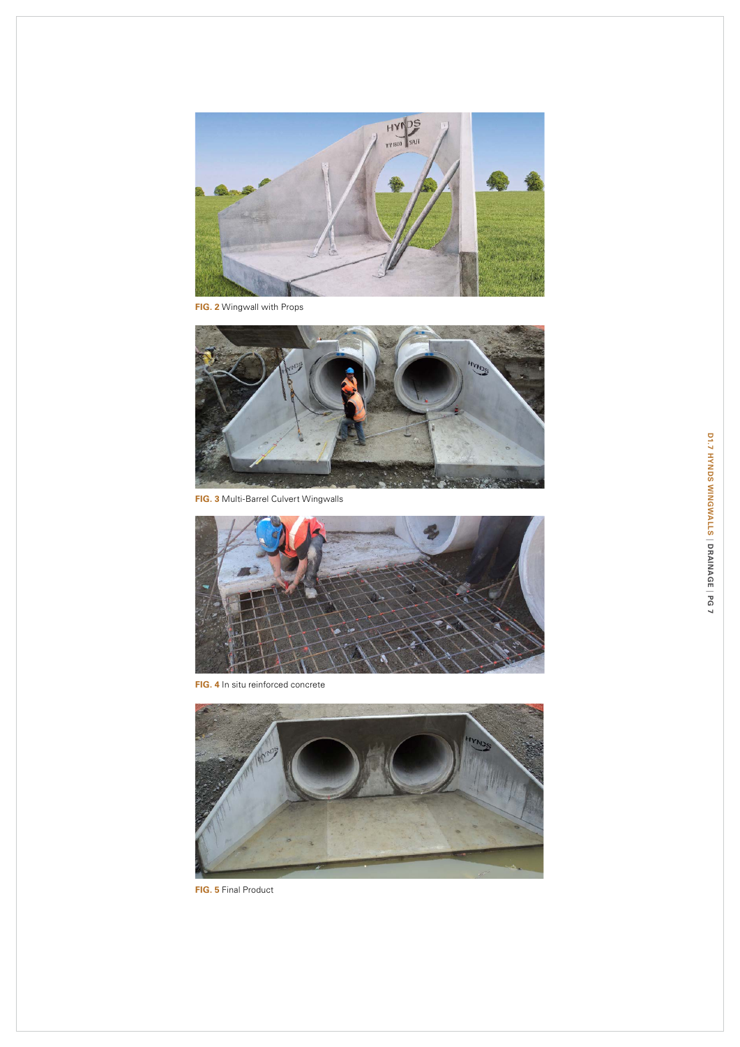

**F ig. 2** Wingwall with Props



**FIG. 3 Multi-Barrel Culvert Wingwalls** 



**FIG. 4** In situ reinforced concrete



**F ig. 5** Final Product